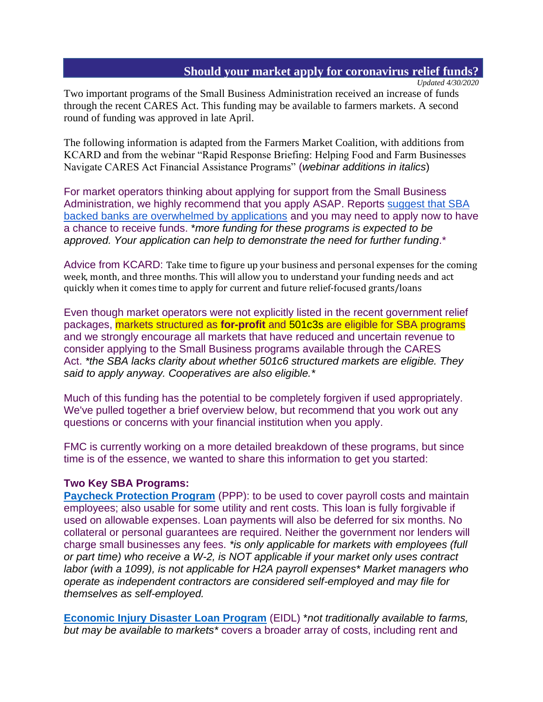## **Should your market apply for coronavirus relief funds?**

*Updated 4/30/2020*

Two important programs of the Small Business Administration received an increase of funds through the recent CARES Act. This funding may be available to farmers markets. A second round of funding was approved in late April.

The following information is adapted from the Farmers Market Coalition, with additions from KCARD and from the webinar "Rapid Response Briefing: Helping Food and Farm Businesses Navigate CARES Act Financial Assistance Programs" (*webinar additions in italics*)

For market operators thinking about applying for support from the Small Business Administration, we highly recommend that you apply ASAP. Reports [suggest that SBA](https://www.politico.com/news/2020/04/06/small-business-loan-program-system-crashes-169614)  [backed banks are overwhelmed by applications](https://www.politico.com/news/2020/04/06/small-business-loan-program-system-crashes-169614) and you may need to apply now to have a chance to receive funds. \**more funding for these programs is expected to be approved. Your application can help to demonstrate the need for further funding*.\*

Advice from KCARD: Take time to figure up your business and personal expenses for the coming week, month, and three months. This will allow you to understand your funding needs and act quickly when it comes time to apply for current and future relief-focused grants/loans

Even though market operators were not explicitly listed in the recent government relief packages, markets structured as **for-profit** and 501c3s are eligible for SBA programs and we strongly encourage all markets that have reduced and uncertain revenue to consider applying to the Small Business programs available through the CARES Act. *\*the SBA lacks clarity about whether 501c6 structured markets are eligible. They said to apply anyway. Cooperatives are also eligible.\**

Much of this funding has the potential to be completely forgiven if used appropriately. We've pulled together a brief overview below, but recommend that you work out any questions or concerns with your financial institution when you apply.

FMC is currently working on a more detailed breakdown of these programs, but since time is of the essence, we wanted to share this information to get you started:

## **Two Key SBA Programs:**

**[Paycheck Protection Program](https://www.sba.gov/funding-programs/loans/paycheck-protection-program-ppp)** (PPP): to be used to cover payroll costs and maintain employees; also usable for some utility and rent costs. This loan is fully forgivable if used on allowable expenses. Loan payments will also be deferred for six months. No collateral or personal guarantees are required. Neither the government nor lenders will charge small businesses any fees. *\*is only applicable for markets with employees (full or part time) who receive a W-2, is NOT applicable if your market only uses contract labor (with a 1099), is not applicable for H2A payroll expenses\* Market managers who operate as independent contractors are considered self-employed and may file for themselves as self-employed.*

**[Economic Injury Disaster Loan Program](https://www.sba.gov/disaster-assistance/coronavirus-covid-19)** (EIDL) \**not traditionally available to farms, but may be available to markets\** covers a broader array of costs, including rent and